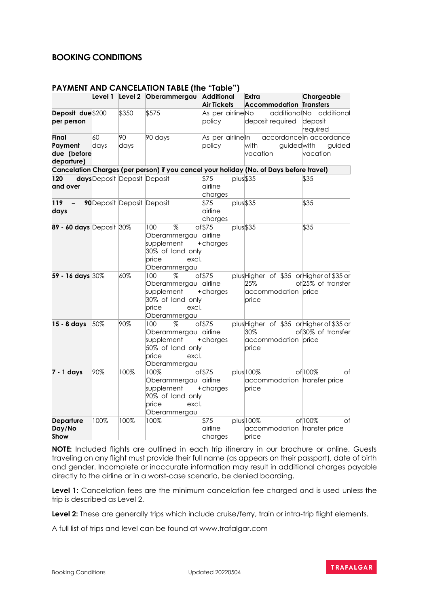## **BOOKING CONDITIONS**

|                                 |      |                              | PATMENT AND CANCELATION TABLE (THE TIGDIE) |                    |                                                                                         |                               |
|---------------------------------|------|------------------------------|--------------------------------------------|--------------------|-----------------------------------------------------------------------------------------|-------------------------------|
|                                 |      |                              | Level 1 Level 2 Oberammergau Additional    |                    | Extra                                                                                   | Chargeable                    |
|                                 |      |                              |                                            | <b>Air Tickets</b> | <b>Accommodation Transfers</b>                                                          |                               |
| Deposit due \$200               |      | \$350                        | \$575                                      | As per airlineNo   | additionalNo                                                                            | additional                    |
| per person                      |      |                              |                                            | policy             | deposit required                                                                        | deposit                       |
|                                 |      |                              |                                            |                    |                                                                                         | required                      |
| Final                           | 60   | 90                           | 90 days                                    | As per airline In  |                                                                                         | accordanceln accordance       |
| Payment                         | days | days                         |                                            | policy             | with<br>guidedwith                                                                      | guided                        |
| due (before<br>departure)       |      |                              |                                            |                    | vacation                                                                                | vacation                      |
|                                 |      |                              |                                            |                    | Cancelation Charges (per person) if you cancel your holiday (No. of Days before travel) |                               |
| 120                             |      | days Deposit Deposit Deposit |                                            | \$75               | $plus$ \$35                                                                             | \$35                          |
| and over                        |      |                              |                                            | airline            |                                                                                         |                               |
|                                 |      |                              |                                            | charges            |                                                                                         |                               |
| 119<br>$\overline{\phantom{a}}$ |      | 90 Deposit Deposit Deposit   |                                            | \$75               | $plus$ \$35                                                                             | \$35                          |
| days                            |      |                              |                                            | airline            |                                                                                         |                               |
|                                 |      |                              |                                            | charges            |                                                                                         |                               |
| 89 - 60 days Deposit 30%        |      |                              | %<br>100                                   | of \$75            | $plus$ \$35                                                                             | \$35                          |
|                                 |      |                              | Oberammergau airline                       |                    |                                                                                         |                               |
|                                 |      |                              | supplement                                 | +charges           |                                                                                         |                               |
|                                 |      |                              | 30% of land only                           |                    |                                                                                         |                               |
|                                 |      |                              | price<br>excl.                             |                    |                                                                                         |                               |
|                                 |      |                              | Oberammergau                               |                    |                                                                                         |                               |
| 59 - 16 days 30%                |      | 60%                          | 100<br>%                                   | of \$75            | plusHigher of \$35 or Higher of \$35 or                                                 |                               |
|                                 |      |                              | Oberammergau airline                       |                    | 25%                                                                                     | of <sub>25%</sub> of transfer |
|                                 |      |                              | supplement                                 | +charges           | accommodation price                                                                     |                               |
|                                 |      |                              | 30% of land only                           |                    | price                                                                                   |                               |
|                                 |      |                              | price<br>excl.                             |                    |                                                                                         |                               |
|                                 |      |                              | Oberammergau                               |                    |                                                                                         |                               |
| 15 - 8 days                     | 50%  | 90%                          | 100<br>$\%$                                | of \$75            | plusHigher of \$35 or Higher of \$35 or                                                 |                               |
|                                 |      |                              | Oberammergau airline                       |                    | 30%                                                                                     | of 30% of transfer            |
|                                 |      |                              | supplement                                 | $+$ charges        | accommodation price                                                                     |                               |
|                                 |      |                              | 50% of land only                           |                    | price                                                                                   |                               |
|                                 |      |                              | price<br>excl.                             |                    |                                                                                         |                               |
|                                 |      |                              | Oberammergau                               |                    |                                                                                         |                               |
| $7 - 1$ days                    | 90%  | 100%                         | 100%                                       | $of \$75$          | plus 100%                                                                               | of 100%<br>of                 |
|                                 |      |                              | Oberammergau airline                       |                    | accommodation transfer price                                                            |                               |
|                                 |      |                              | supplement                                 | $+$ charges        | price                                                                                   |                               |
|                                 |      |                              | 90% of land only                           |                    |                                                                                         |                               |
|                                 |      |                              | price<br>excl.                             |                    |                                                                                         |                               |
|                                 |      |                              | Oberammergau                               |                    |                                                                                         |                               |
| <b>Departure</b>                | 100% | 100%                         | 100%                                       | \$75               | plus 100%                                                                               | of 100%<br>оf                 |
| Day/No                          |      |                              |                                            | airline            | accommodation transfer price                                                            |                               |
| Show                            |      |                              |                                            | charges            | price                                                                                   |                               |

### **PAYMENT AND CANCELATION TABLE (the "Table")**

**NOTE:** Included flights are outlined in each trip itinerary in our brochure or online. Guests traveling on any flight must provide their full name (as appears on their passport), date of birth and gender. Incomplete or inaccurate information may result in additional charges payable directly to the airline or in a worst-case scenario, be denied boarding.

Level 1: Cancelation fees are the minimum cancelation fee charged and is used unless the trip is described as Level 2.

**Level 2:** These are generally trips which include cruise/ferry, train or intra-trip flight elements.

A full list of trips and level can be found at www.trafalgar.com

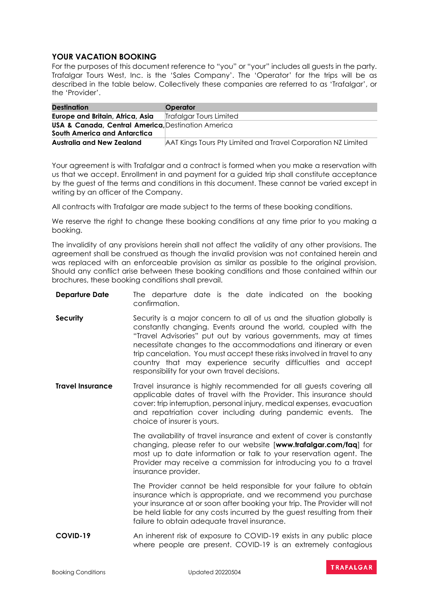### **YOUR VACATION BOOKING**

For the purposes of this document reference to "you" or "your" includes all guests in the party. Trafalgar Tours West, Inc. is the 'Sales Company'. The 'Operator' for the trips will be as described in the table below. Collectively these companies are referred to as 'Trafalgar', or the 'Provider'.

| <b>Destination</b>                                 | Operator                                                      |
|----------------------------------------------------|---------------------------------------------------------------|
| Europe and Britain, Africa, Asia                   | Trafalgar Tours Limited                                       |
| USA & Canada, Central America, Destination America |                                                               |
| South America and Antarctica                       |                                                               |
| <b>Australia and New Zealand</b>                   | AAT Kings Tours Pty Limited and Travel Corporation NZ Limited |

Your agreement is with Trafalgar and a contract is formed when you make a reservation with us that we accept. Enrollment in and payment for a guided trip shall constitute acceptance by the guest of the terms and conditions in this document. These cannot be varied except in writing by an officer of the Company.

All contracts with Trafalgar are made subject to the terms of these booking conditions.

We reserve the right to change these booking conditions at any time prior to you making a booking.

The invalidity of any provisions herein shall not affect the validity of any other provisions. The agreement shall be construed as though the invalid provision was not contained herein and was replaced with an enforceable provision as similar as possible to the original provision. Should any conflict arise between these booking conditions and those contained within our brochures, these booking conditions shall prevail.

- **Departure Date** The departure date is the date indicated on the booking confirmation.
- **Security** Security is a major concern to all of us and the situation globally is constantly changing. Events around the world, coupled with the "Travel Advisories" put out by various governments, may at times necessitate changes to the accommodations and itinerary or even trip cancelation. You must accept these risks involved in travel to any country that may experience security difficulties and accept responsibility for your own travel decisions.
- **Travel Insurance** Travel insurance is highly recommended for all quests covering all applicable dates of travel with the Provider. This insurance should cover: trip interruption, personal injury, medical expenses, evacuation and repatriation cover including during pandemic events. The choice of insurer is yours.

The availability of travel insurance and extent of cover is constantly changing, please refer to our website [**www.trafalgar.com/faq**] for most up to date information or talk to your reservation agent. The Provider may receive a commission for introducing you to a travel insurance provider.

The Provider cannot be held responsible for your failure to obtain insurance which is appropriate, and we recommend you purchase your insurance at or soon after booking your trip. The Provider will not be held liable for any costs incurred by the guest resulting from their failure to obtain adequate travel insurance.

**COVID-19** An inherent risk of exposure to COVID-19 exists in any public place where people are present. COVID-19 is an extremely contagious

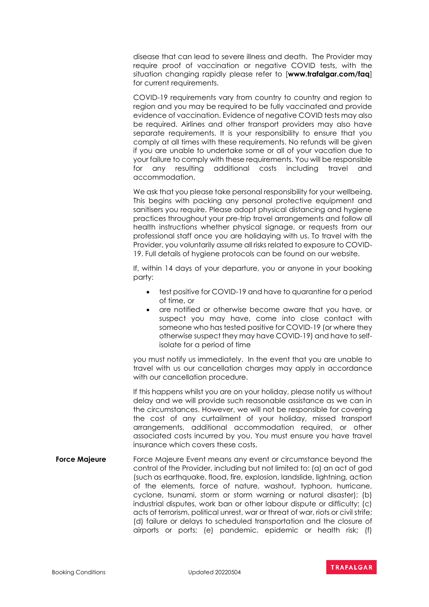disease that can lead to severe illness and death. The Provider may require proof of vaccination or negative COVID tests, with the situation changing rapidly please refer to [**www.trafalgar.com/faq**] for current requirements.

COVID-19 requirements vary from country to country and region to region and you may be required to be fully vaccinated and provide evidence of vaccination. Evidence of negative COVID tests may also be required. Airlines and other transport providers may also have separate requirements. It is your responsibility to ensure that you comply at all times with these requirements. No refunds will be given if you are unable to undertake some or all of your vacation due to your failure to comply with these requirements. You will be responsible for any resulting additional costs including travel and accommodation.

We ask that you please take personal responsibility for your wellbeing. This begins with packing any personal protective equipment and sanitisers you require. Please adopt physical distancing and hygiene practices throughout your pre-trip travel arrangements and follow all health instructions whether physical signage, or requests from our professional staff once you are holidaying with us. To travel with the Provider, you voluntarily assume all risks related to exposure to COVID-19. Full details of hygiene protocols can be found on our website.

If, within 14 days of your departure, you or anyone in your booking party:

- test positive for COVID-19 and have to quarantine for a period of time, or
- are notified or otherwise become aware that you have, or suspect you may have, come into close contact with someone who has tested positive for COVID-19 (or where they otherwise suspect they may have COVID-19) and have to selfisolate for a period of time

you must notify us immediately. In the event that you are unable to travel with us our cancellation charges may apply in accordance with our cancellation procedure.

If this happens whilst you are on your holiday, please notify us without delay and we will provide such reasonable assistance as we can in the circumstances. However, we will not be responsible for covering the cost of any curtailment of your holiday, missed transport arrangements, additional accommodation required, or other associated costs incurred by you. You must ensure you have travel insurance which covers these costs.

**Force Majeure** Force Majeure Event means any event or circumstance beyond the control of the Provider, including but not limited to: (a) an act of god (such as earthquake, flood, fire, explosion, landslide, lightning, action of the elements, force of nature, washout, typhoon, hurricane, cyclone, tsunami, storm or storm warning or natural disaster); (b) industrial disputes, work ban or other labour dispute or difficulty; (c) acts of terrorism, political unrest, war or threat of war, riots or civil strife; (d) failure or delays to scheduled transportation and the closure of airports or ports; (e) pandemic, epidemic or health risk; (f)

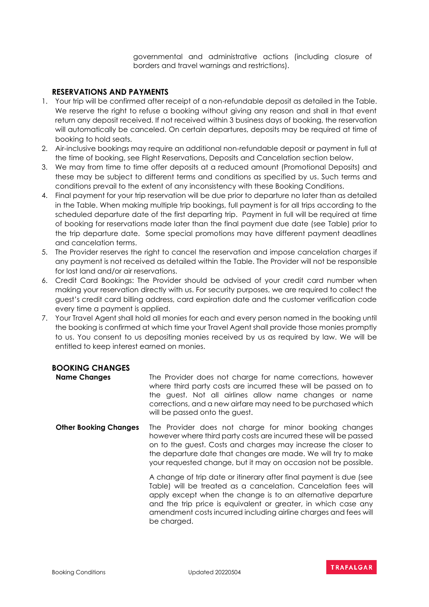governmental and administrative actions (including closure of borders and travel warnings and restrictions).

### **RESERVATIONS AND PAYMENTS**

- 1. Your trip will be confirmed after receipt of a non-refundable deposit as detailed in the Table. We reserve the right to refuse a booking without giving any reason and shall in that event return any deposit received. If not received within 3 business days of booking, the reservation will automatically be canceled. On certain departures, deposits may be required at time of booking to hold seats.
- 2. Air-inclusive bookings may require an additional non-refundable deposit or payment in full at the time of booking, see Flight Reservations, Deposits and Cancelation section below.
- 3. We may from time to time offer deposits at a reduced amount (Promotional Deposits) and these may be subject to different terms and conditions as specified by us. Such terms and conditions prevail to the extent of any inconsistency with these Booking Conditions.
- 4. Final payment for your trip reservation will be due prior to departure no later than as detailed in the Table. When making multiple trip bookings, full payment is for all trips according to the scheduled departure date of the first departing trip. Payment in full will be required at time of booking for reservations made later than the final payment due date (see Table) prior to the trip departure date. Some special promotions may have different payment deadlines and cancelation terms.
- 5. The Provider reserves the right to cancel the reservation and impose cancelation charges if any payment is not received as detailed within the Table. The Provider will not be responsible for lost land and/or air reservations.
- 6. Credit Card Bookings: The Provider should be advised of your credit card number when making your reservation directly with us. For security purposes, we are required to collect the guest's credit card billing address, card expiration date and the customer verification code every time a payment is applied.
- 7. Your Travel Agent shall hold all monies for each and every person named in the booking until the booking is confirmed at which time your Travel Agent shall provide those monies promptly to us. You consent to us depositing monies received by us as required by law. We will be entitled to keep interest earned on monies.

### **BOOKING CHANGES**

**Name Changes** The Provider does not charge for name corrections, however where third party costs are incurred these will be passed on to the guest. Not all airlines allow name changes or name corrections, and a new airfare may need to be purchased which will be passed onto the guest.

**Other Booking Changes** The Provider does not charge for minor booking changes however where third party costs are incurred these will be passed on to the guest. Costs and charges may increase the closer to the departure date that changes are made. We will try to make your requested change, but it may on occasion not be possible.

> A change of trip date or itinerary after final payment is due (see Table) will be treated as a cancelation. Cancelation fees will apply except when the change is to an alternative departure and the trip price is equivalent or greater, in which case any amendment costs incurred including airline charges and fees will be charged.

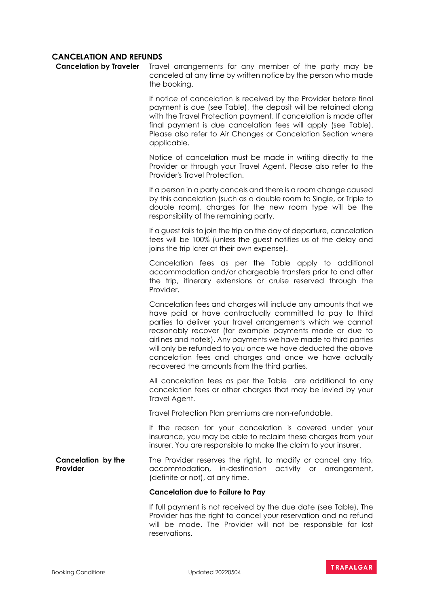### **CANCELATION AND REFUNDS**

| <b>Cancelation by Traveler</b> Travel arrangements for any member of the party may be |
|---------------------------------------------------------------------------------------|
| canceled at any time by written notice by the person who made                         |
| the booking.                                                                          |

If notice of cancelation is received by the Provider before final payment is due (see Table), the deposit will be retained along with the Travel Protection payment. If cancelation is made after final payment is due cancelation fees will apply (see Table). Please also refer to Air Changes or Cancelation Section where applicable.

Notice of cancelation must be made in writing directly to the Provider or through your Travel Agent. Please also refer to the Provider's Travel Protection.

If a person in a party cancels and there is a room change caused by this cancelation (such as a double room to Single, or Triple to double room), charges for the new room type will be the responsibility of the remaining party.

If a guest fails to join the trip on the day of departure, cancelation fees will be 100% (unless the guest notifies us of the delay and joins the trip later at their own expense).

Cancelation fees as per the Table apply to additional accommodation and/or chargeable transfers prior to and after the trip, itinerary extensions or cruise reserved through the Provider.

Cancelation fees and charges will include any amounts that we have paid or have contractually committed to pay to third parties to deliver your travel arrangements which we cannot reasonably recover (for example payments made or due to airlines and hotels). Any payments we have made to third parties will only be refunded to you once we have deducted the above cancelation fees and charges and once we have actually recovered the amounts from the third parties.

All cancelation fees as per the Table are additional to any cancelation fees or other charges that may be levied by your Travel Agent.

Travel Protection Plan premiums are non-refundable.

If the reason for your cancelation is covered under your insurance, you may be able to reclaim these charges from your insurer. You are responsible to make the claim to your insurer.

#### **Cancelation by the Provider** The Provider reserves the right, to modify or cancel any trip, accommodation, in-destination activity or arrangement, (definite or not), at any time.

#### **Cancelation due to Failure to Pay**

If full payment is not received by the due date (see Table), The Provider has the right to cancel your reservation and no refund will be made. The Provider will not be responsible for lost reservations.

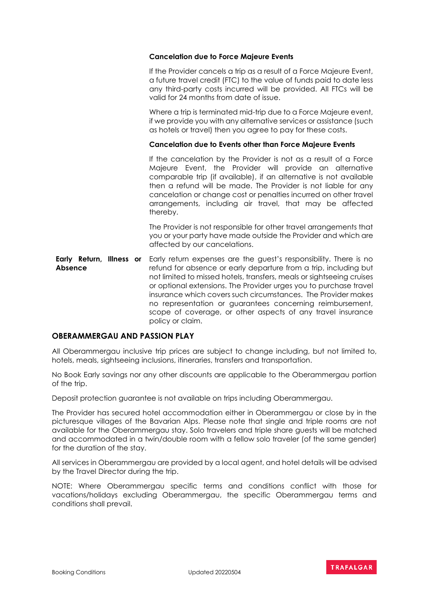### **Cancelation due to Force Majeure Events**

If the Provider cancels a trip as a result of a Force Majeure Event, a future travel credit (FTC) to the value of funds paid to date less any third-party costs incurred will be provided. All FTCs will be valid for 24 months from date of issue.

Where a trip is terminated mid-trip due to a Force Majeure event, if we provide you with any alternative services or assistance (such as hotels or travel) then you agree to pay for these costs.

#### **Cancelation due to Events other than Force Majeure Events**

If the cancelation by the Provider is not as a result of a Force Majeure Event, the Provider will provide an alternative comparable trip (if available), if an alternative is not available then a refund will be made. The Provider is not liable for any cancelation or change cost or penalties incurred on other travel arrangements, including air travel, that may be affected thereby.

The Provider is not responsible for other travel arrangements that you or your party have made outside the Provider and which are affected by our cancelations.

**Early Return, Illness or** Early return expenses are the guest's responsibility. There is no **Absence** refund for absence or early departure from a trip, including but not limited to missed hotels, transfers, meals or sightseeing cruises or optional extensions. The Provider urges you to purchase travel insurance which covers such circumstances. The Provider makes no representation or guarantees concerning reimbursement, scope of coverage, or other aspects of any travel insurance policy or claim.

### **OBERAMMERGAU AND PASSION PLAY**

All Oberammergau inclusive trip prices are subject to change including, but not limited to, hotels, meals, sightseeing inclusions, itineraries, transfers and transportation.

No Book Early savings nor any other discounts are applicable to the Oberammergau portion of the trip.

Deposit protection guarantee is not available on trips including Oberammergau.

The Provider has secured hotel accommodation either in Oberammergau or close by in the picturesque villages of the Bavarian Alps. Please note that single and triple rooms are not available for the Oberammergau stay. Solo travelers and triple share guests will be matched and accommodated in a twin/double room with a fellow solo traveler (of the same gender) for the duration of the stay.

All services in Oberammergau are provided by a local agent, and hotel details will be advised by the Travel Director during the trip.

NOTE: Where Oberammergau specific terms and conditions conflict with those for vacations/holidays excluding Oberammergau, the specific Oberammergau terms and conditions shall prevail.

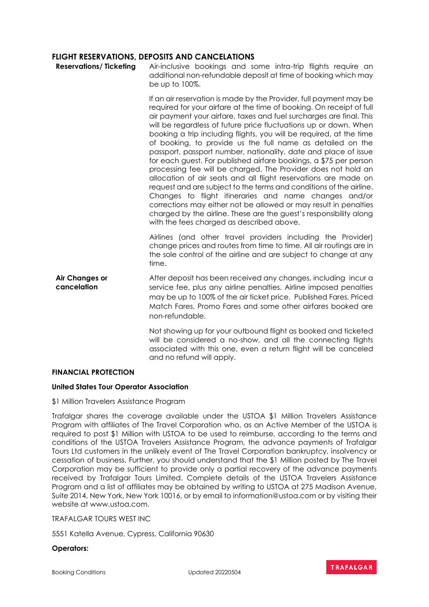### **FLIGHT RESERVATIONS, DEPOSITS AND CANCELATIONS**

| <b>Reservations/Ticketing</b> | I LIGHT REJERVATIONJ, DEI OJITJ AND CANCELATIONJ<br>Air-inclusive bookings and some intra-trip flights require an<br>additional non-refundable deposit at time of booking which may<br>be up to 100%.                                                                                                                                                                                                                                                                                                                                                                                                                                                                                                                                                                                                                                                                                                                                                                                                                         |
|-------------------------------|-------------------------------------------------------------------------------------------------------------------------------------------------------------------------------------------------------------------------------------------------------------------------------------------------------------------------------------------------------------------------------------------------------------------------------------------------------------------------------------------------------------------------------------------------------------------------------------------------------------------------------------------------------------------------------------------------------------------------------------------------------------------------------------------------------------------------------------------------------------------------------------------------------------------------------------------------------------------------------------------------------------------------------|
|                               | If an air reservation is made by the Provider, full payment may be<br>required for your airfare at the time of booking. On receipt of full<br>air payment your airfare, taxes and fuel surcharges are final. This<br>will be regardless of future price fluctuations up or down. When<br>booking a trip including flights, you will be required, at the time<br>of booking, to provide us the full name as detailed on the<br>passport, passport number, nationality, date and place of issue<br>for each guest. For published airfare bookings, a \$75 per person<br>processing fee will be charged. The Provider does not hold an<br>allocation of air seats and all flight reservations are made on<br>request and are subject to the terms and conditions of the airline.<br>Changes to flight itineraries and name changes and/or<br>corrections may either not be allowed or may result in penalties<br>charged by the airline. These are the guest's responsibility along<br>with the fees charged as described above. |
|                               | Airlines (and other travel providers including the Provider)<br>change prices and routes from time to time. All air routings are in<br>the sole control of the airline and are subject to change at any<br>time.                                                                                                                                                                                                                                                                                                                                                                                                                                                                                                                                                                                                                                                                                                                                                                                                              |
| Air Changes or<br>cancelation | After deposit has been received any changes, including incur a<br>service fee, plus any airline penalties. Airline imposed penalties<br>may be up to 100% of the air ticket price. Published Fares, Priced<br>Match Fares, Promo Fares and some other airfares booked are<br>non-refundable.                                                                                                                                                                                                                                                                                                                                                                                                                                                                                                                                                                                                                                                                                                                                  |
|                               | Not showing up for your outbound flight as booked and ticketed<br>will be considered a no-show, and all the connecting flights<br>associated with this one, even a return flight will be canceled                                                                                                                                                                                                                                                                                                                                                                                                                                                                                                                                                                                                                                                                                                                                                                                                                             |

#### **FINANCIAL PROTECTION**

#### **United States Tour Operator Association**

#### \$1 Million Travelers Assistance Program

Trafalgar shares the coverage available under the USTOA \$1 Million Travelers Assistance Program with affiliates of The Travel Corporation who, as an Active Member of the USTOA is required to post \$1 Million with USTOA to be used to reimburse, according to the terms and conditions of the USTOA Travelers Assistance Program, the advance payments of Trafalgar Tours Ltd customers in the unlikely event of The Travel Corporation bankruptcy, insolvency or cessation of business. Further, you should understand that the \$1 Million posted by The Travel Corporation may be sufficient to provide only a partial recovery of the advance payments received by Trafalgar Tours Limited. Complete details of the USTOA Travelers Assistance Program and a list of affiliates may be obtained by writing to USTOA at 275 Madison Avenue, Suite 2014, New York, New York 10016, or by email to information@ustoa.com or by visiting their website at www.ustoa.com.

and no refund will apply.

### TRAFALGAR TOURS WEST INC

5551 Katella Avenue, Cypress, California 90630

#### **Operators:**

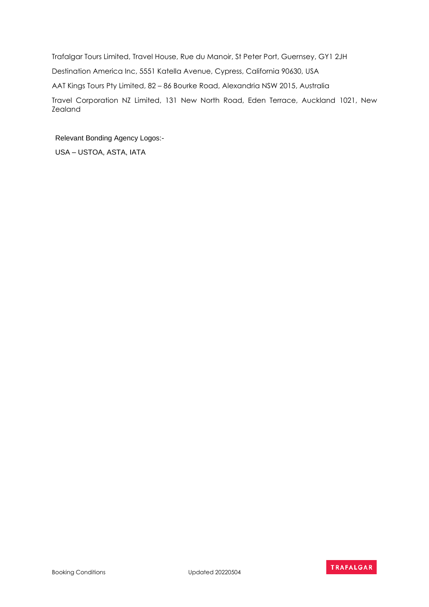Trafalgar Tours Limited, Travel House, Rue du Manoir, St Peter Port, Guernsey, GY1 2JH Destination America Inc, 5551 Katella Avenue, Cypress, California 90630, USA AAT Kings Tours Pty Limited, 82 – 86 Bourke Road, Alexandria NSW 2015, Australia Travel Corporation NZ Limited, 131 New North Road, Eden Terrace, Auckland 1021, New Zealand

Relevant Bonding Agency Logos:-

USA – USTOA, ASTA, IATA

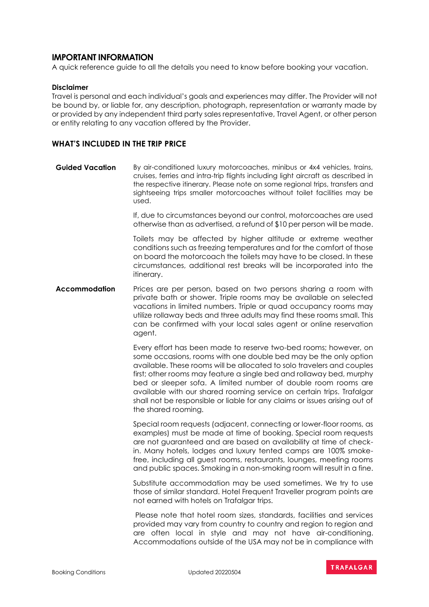### **IMPORTANT INFORMATION**

A quick reference guide to all the details you need to know before booking your vacation.

#### **Disclaimer**

Travel is personal and each individual's goals and experiences may differ. The Provider will not be bound by, or liable for, any description, photograph, representation or warranty made by or provided by any independent third party sales representative, Travel Agent, or other person or entity relating to any vacation offered by the Provider.

#### **WHAT'S INCLUDED IN THE TRIP PRICE**

**Guided Vacation** By air-conditioned luxury motorcoaches, minibus or 4x4 vehicles, trains, cruises, ferries and intra-trip flights including light aircraft as described in the respective itinerary. Please note on some regional trips, transfers and sightseeing trips smaller motorcoaches without toilet facilities may be used.

> If, due to circumstances beyond our control, motorcoaches are used otherwise than as advertised, a refund of \$10 per person will be made.

> Toilets may be affected by higher altitude or extreme weather conditions such as freezing temperatures and for the comfort of those on board the motorcoach the toilets may have to be closed. In these circumstances, additional rest breaks will be incorporated into the itinerary.

**Accommodation** Prices are per person, based on two persons sharing a room with private bath or shower. Triple rooms may be available on selected vacations in limited numbers. Triple or quad occupancy rooms may utilize rollaway beds and three adults may find these rooms small. This can be confirmed with your local sales agent or online reservation agent.

> Every effort has been made to reserve two-bed rooms; however, on some occasions, rooms with one double bed may be the only option available. These rooms will be allocated to solo travelers and couples first; other rooms may feature a single bed and rollaway bed, murphy bed or sleeper sofa. A limited number of double room rooms are available with our shared rooming service on certain trips. Trafalgar shall not be responsible or liable for any claims or issues arising out of the shared rooming.

> Special room requests (adjacent, connecting or lower-floor rooms, as examples) must be made at time of booking. Special room requests are not guaranteed and are based on availability at time of checkin. Many hotels, lodges and luxury tented camps are 100% smokefree, including all guest rooms, restaurants, lounges, meeting rooms and public spaces. Smoking in a non-smoking room will result in a fine.

> Substitute accommodation may be used sometimes. We try to use those of similar standard. Hotel Frequent Traveller program points are not earned with hotels on Trafalgar trips.

> Please note that hotel room sizes, standards, facilities and services provided may vary from country to country and region to region and are often local in style and may not have air-conditioning. Accommodations outside of the USA may not be in compliance with

Booking Conditions **Example 2021** Updated 20220504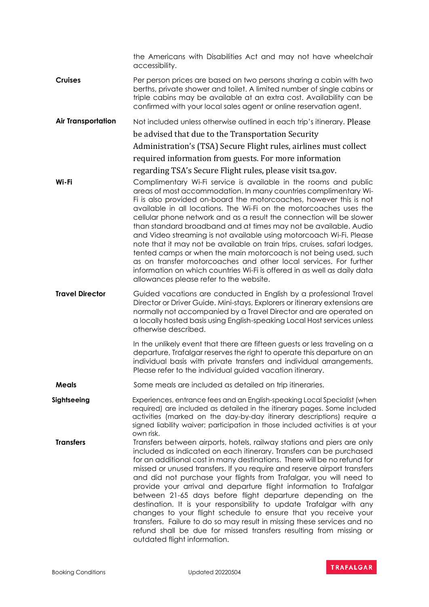|                           | the Americans with Disabilities Act and may not have wheelchair<br>accessibility.                                                                                                                                                                                                                                                                                                                                                                                                                                                                                                                                                                                                                                                                                                                                                                |
|---------------------------|--------------------------------------------------------------------------------------------------------------------------------------------------------------------------------------------------------------------------------------------------------------------------------------------------------------------------------------------------------------------------------------------------------------------------------------------------------------------------------------------------------------------------------------------------------------------------------------------------------------------------------------------------------------------------------------------------------------------------------------------------------------------------------------------------------------------------------------------------|
| <b>Cruises</b>            | Per person prices are based on two persons sharing a cabin with two<br>berths, private shower and toilet. A limited number of single cabins or<br>triple cabins may be available at an extra cost. Availability can be<br>confirmed with your local sales agent or online reservation agent.                                                                                                                                                                                                                                                                                                                                                                                                                                                                                                                                                     |
| <b>Air Transportation</b> | Not included unless otherwise outlined in each trip's itinerary. Please                                                                                                                                                                                                                                                                                                                                                                                                                                                                                                                                                                                                                                                                                                                                                                          |
|                           | be advised that due to the Transportation Security                                                                                                                                                                                                                                                                                                                                                                                                                                                                                                                                                                                                                                                                                                                                                                                               |
|                           | Administration's (TSA) Secure Flight rules, airlines must collect                                                                                                                                                                                                                                                                                                                                                                                                                                                                                                                                                                                                                                                                                                                                                                                |
|                           | required information from guests. For more information                                                                                                                                                                                                                                                                                                                                                                                                                                                                                                                                                                                                                                                                                                                                                                                           |
|                           | regarding TSA's Secure Flight rules, please visit tsa.gov.                                                                                                                                                                                                                                                                                                                                                                                                                                                                                                                                                                                                                                                                                                                                                                                       |
| Wi-Fi                     | Complimentary Wi-Fi service is available in the rooms and public<br>areas of most accommodation. In many countries complimentary Wi-<br>Fi is also provided on-board the motorcoaches, however this is not<br>available in all locations. The Wi-Fi on the motorcoaches uses the<br>cellular phone network and as a result the connection will be slower<br>than standard broadband and at times may not be available. Audio<br>and Video streaming is not available using motorcoach Wi-Fi. Please<br>note that it may not be available on train trips, cruises, safari lodges,<br>tented camps or when the main motorcoach is not being used, such<br>as on transfer motorcoaches and other local services. For further<br>information on which countries Wi-Fi is offered in as well as daily data<br>allowances please refer to the website. |
| <b>Travel Director</b>    | Guided vacations are conducted in English by a professional Travel<br>Director or Driver Guide. Mini-stays, Explorers or itinerary extensions are<br>normally not accompanied by a Travel Director and are operated on<br>a locally hosted basis using English-speaking Local Host services unless<br>otherwise described.                                                                                                                                                                                                                                                                                                                                                                                                                                                                                                                       |
|                           | In the unlikely event that there are fifteen guests or less traveling on a<br>departure, Trafalgar reserves the right to operate this departure on an<br>individual basis with private transfers and individual arrangements.<br>Please refer to the individual guided vacation itinerary.                                                                                                                                                                                                                                                                                                                                                                                                                                                                                                                                                       |
| <b>Meals</b>              | Some meals are included as detailed on trip itineraries.                                                                                                                                                                                                                                                                                                                                                                                                                                                                                                                                                                                                                                                                                                                                                                                         |
| Sightseeing               | Experiences, entrance fees and an English-speaking Local Specialist (when<br>required) are included as detailed in the itinerary pages. Some included<br>activities (marked on the day-by-day itinerary descriptions) require a<br>signed liability waiver; participation in those included activities is at your<br>own risk.                                                                                                                                                                                                                                                                                                                                                                                                                                                                                                                   |
| <b>Transfers</b>          | Transfers between airports, hotels, railway stations and piers are only<br>included as indicated on each itinerary. Transfers can be purchased<br>for an additional cost in many destinations. There will be no refund for<br>missed or unused transfers. If you require and reserve airport transfers<br>and did not purchase your flights from Trafalgar, you will need to<br>provide your arrival and departure flight information to Trafalgar<br>between 21-65 days before flight departure depending on the<br>destination. It is your responsibility to update Trafalgar with any<br>changes to your flight schedule to ensure that you receive your<br>transfers. Failure to do so may result in missing these services and no<br>refund shall be due for missed transfers resulting from missing or<br>outdated flight information.     |

# TRAFALGAR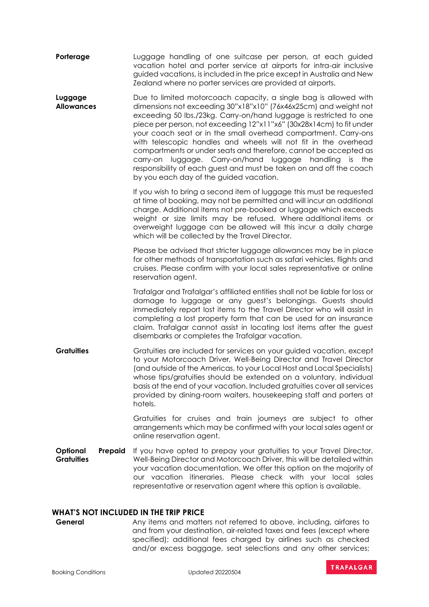| Porterage                                | Luggage handling of one suitcase per person, at each guided<br>vacation hotel and porter service at airports for intra-air inclusive<br>guided vacations, is included in the price except in Australia and New<br>Zealand where no porter services are provided at airports.                                                                                                                                                                                                                                                                                                                                                                                                 |
|------------------------------------------|------------------------------------------------------------------------------------------------------------------------------------------------------------------------------------------------------------------------------------------------------------------------------------------------------------------------------------------------------------------------------------------------------------------------------------------------------------------------------------------------------------------------------------------------------------------------------------------------------------------------------------------------------------------------------|
| Luggage<br><b>Allowances</b>             | Due to limited motorcoach capacity, a single bag is allowed with<br>dimensions not exceeding 30"x18"x10" (76x46x25cm) and weight not<br>exceeding 50 lbs./23kg. Carry-on/hand luggage is restricted to one<br>piece per person, not exceeding 12"x11"x6" (30x28x14cm) to fit under<br>your coach seat or in the small overhead compartment. Carry-ons<br>with telescopic handles and wheels will not fit in the overhead<br>compartments or under seats and therefore, cannot be accepted as<br>carry-on luggage. Carry-on/hand luggage<br>handling is the<br>responsibility of each guest and must be taken on and off the coach<br>by you each day of the guided vacation. |
|                                          | If you wish to bring a second item of luggage this must be requested<br>at time of booking, may not be permitted and will incur an additional<br>charge. Additional items not pre-booked or luggage which exceeds<br>weight or size limits may be refused. Where additional items or<br>overweight luggage can be allowed will this incur a daily charge<br>which will be collected by the Travel Director.                                                                                                                                                                                                                                                                  |
|                                          | Please be advised that stricter luggage allowances may be in place<br>for other methods of transportation such as safari vehicles, flights and<br>cruises. Please confirm with your local sales representative or online<br>reservation agent.                                                                                                                                                                                                                                                                                                                                                                                                                               |
|                                          | Trafalgar and Trafalgar's affiliated entities shall not be liable for loss or<br>damage to luggage or any guest's belongings. Guests should<br>immediately report lost items to the Travel Director who will assist in<br>completing a lost property form that can be used for an insurance<br>claim. Trafalgar cannot assist in locating lost items after the guest<br>disembarks or completes the Trafalgar vacation.                                                                                                                                                                                                                                                      |
| <b>Gratuities</b>                        | Gratuities are included for services on your guided vacation, except<br>to your Motorcoach Driver, Well-Being Director and Travel Director<br>(and outside of the Americas, to your Local Host and Local Specialists)<br>whose tips/gratuities should be extended on a voluntary, individual<br>basis at the end of your vacation. Included gratuities cover all services<br>provided by dining-room waiters, housekeeping staff and porters at<br>hotels.                                                                                                                                                                                                                   |
|                                          | Gratuities for cruises and train journeys are subject to other<br>arrangements which may be confirmed with your local sales agent or<br>online reservation agent.                                                                                                                                                                                                                                                                                                                                                                                                                                                                                                            |
| Optional<br>Prepaid<br><b>Gratuities</b> | If you have opted to prepay your gratuities to your Travel Director,<br>Well-Being Director and Motorcoach Driver, this will be detailed within<br>your vacation documentation. We offer this option on the majority of<br>our vacation itineraries. Please check with your local sales<br>representative or reservation agent where this option is available.                                                                                                                                                                                                                                                                                                               |
| WHAT'S NOT INCLUDED IN THE TRID BRICE    |                                                                                                                                                                                                                                                                                                                                                                                                                                                                                                                                                                                                                                                                              |

### **WHAT'S NOT INCLUDED IN THE TRIP PRICE**

**General** Any items and matters not referred to above, including, airfares to and from your destination, air-related taxes and fees (except where specified); additional fees charged by airlines such as checked and/or excess baggage, seat selections and any other services;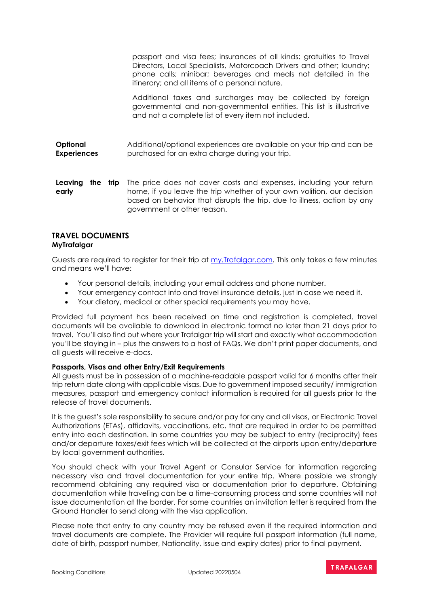passport and visa fees; insurances of all kinds; gratuities to Travel Directors, Local Specialists, Motorcoach Drivers and other; laundry; phone calls; minibar; beverages and meals not detailed in the itinerary; and all items of a personal nature.

Additional taxes and surcharges may be collected by foreign governmental and non-governmental entities. This list is illustrative and not a complete list of every item not included.

**Optional Experiences** Additional/optional experiences are available on your trip and can be purchased for an extra charge during your trip.

Leaving the trip The price does not cover costs and expenses, including your return **early** home, if you leave the trip whether of your own volition, our decision based on behavior that disrupts the trip, due to illness, action by any government or other reason.

### **TRAVEL DOCUMENTS MyTrafalgar**

Guests are required to register for their trip at [my.Trafalgar.com.](https://my.trafalgar.com/) This only takes a few minutes and means we'll have:

- Your personal details, including your email address and phone number.
- Your emergency contact info and travel insurance details, just in case we need it.
- Your dietary, medical or other special requirements you may have.

Provided full payment has been received on time and registration is completed, travel documents will be available to download in electronic format no later than 21 days prior to travel. You'll also find out where your Trafalgar trip will start and exactly what accommodation you'll be staying in – plus the answers to a host of FAQs. We don't print paper documents, and all guests will receive e-docs.

### **Passports, Visas and other Entry/Exit Requirements**

All guests must be in possession of a machine-readable passport valid for 6 months after their trip return date along with applicable visas. Due to government imposed security/ immigration measures, passport and emergency contact information is required for all guests prior to the release of travel documents.

It is the guest's sole responsibility to secure and/or pay for any and all visas, or Electronic Travel Authorizations (ETAs), affidavits, vaccinations, etc. that are required in order to be permitted entry into each destination. In some countries you may be subject to entry (reciprocity) fees and/or departure taxes/exit fees which will be collected at the airports upon entry/departure by local government authorities.

You should check with your Travel Agent or Consular Service for information regarding necessary visa and travel documentation for your entire trip. Where possible we strongly recommend obtaining any required visa or documentation prior to departure. Obtaining documentation while traveling can be a time-consuming process and some countries will not issue documentation at the border. For some countries an invitation letter is required from the Ground Handler to send along with the visa application.

Please note that entry to any country may be refused even if the required information and travel documents are complete. The Provider will require full passport information (full name, date of birth, passport number, Nationality, issue and expiry dates) prior to final payment.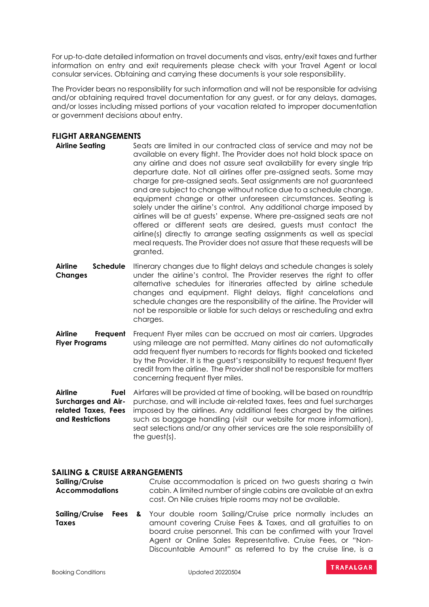For up-to-date detailed information on travel documents and visas, entry/exit taxes and further information on entry and exit requirements please check with your Travel Agent or local consular services. Obtaining and carrying these documents is your sole responsibility.

The Provider bears no responsibility for such information and will not be responsible for advising and/or obtaining required travel documentation for any guest, or for any delays, damages, and/or losses including missed portions of your vacation related to improper documentation or government decisions about entry.

### **FLIGHT ARRANGEMENTS**

- **Airline Seating** Seats are limited in our contracted class of service and may not be available on every flight. The Provider does not hold block space on any airline and does not assure seat availability for every single trip departure date. Not all airlines offer pre-assigned seats. Some may charge for pre-assigned seats. Seat assignments are not guaranteed and are subject to change without notice due to a schedule change, equipment change or other unforeseen circumstances. Seating is solely under the airline's control. Any additional charge imposed by airlines will be at guests' expense. Where pre-assigned seats are not offered or different seats are desired, guests must contact the airline(s) directly to arrange seating assignments as well as special meal requests. The Provider does not assure that these requests will be granted.
- **Airline Schedule Changes** Itinerary changes due to flight delays and schedule changes is solely under the airline's control. The Provider reserves the right to offer alternative schedules for itineraries affected by airline schedule changes and equipment. Flight delays, flight cancelations and schedule changes are the responsibility of the airline. The Provider will not be responsible or liable for such delays or rescheduling and extra charges.
- **Airline Frequent Flyer Programs** Frequent Flyer miles can be accrued on most air carriers. Upgrades using mileage are not permitted. Many airlines do not automatically add frequent flyer numbers to records for flights booked and ticketed by the Provider. It is the guest's responsibility to request frequent flyer credit from the airline. The Provider shall not be responsible for matters concerning frequent flyer miles.

**Airline Surcharges and Airrelated Taxes, Fees and Restrictions** Fuel Airfares will be provided at time of booking, will be based on roundtrip purchase, and will include air-related taxes, fees and fuel surcharges imposed by the airlines. Any additional fees charged by the airlines such as baggage handling (visit our website for more information), seat selections and/or any other services are the sole responsibility of the guest(s).

### **SAILING & CRUISE ARRANGEMENTS**

- **Sailing/Cruise Accommodations** Cruise accommodation is priced on two guests sharing a twin cabin. A limited number of single cabins are available at an extra cost. On Nile cruises triple rooms may not be available.
- **Sailing/Cruise Fees &** Your double room Sailing/Cruise price normally includes an **Taxes** amount covering Cruise Fees & Taxes, and all gratuities to on board cruise personnel. This can be confirmed with your Travel Agent or Online Sales Representative. Cruise Fees, or "Non-Discountable Amount" as referred to by the cruise line, is a

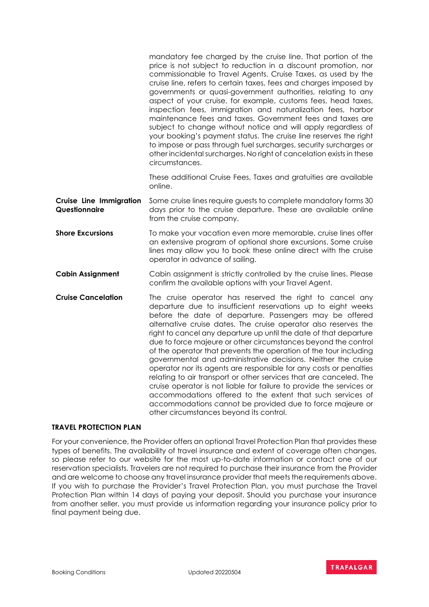|                                                 | mandatory fee charged by the cruise line. That portion of the<br>price is not subject to reduction in a discount promotion, nor<br>commissionable to Travel Agents. Cruise Taxes, as used by the<br>cruise line, refers to certain taxes, fees and charges imposed by<br>governments or quasi-government authorities, relating to any<br>aspect of your cruise, for example, customs fees, head taxes,<br>inspection fees, immigration and naturalization fees, harbor<br>maintenance fees and taxes. Government fees and taxes are<br>subject to change without notice and will apply regardless of<br>your booking's payment status. The cruise line reserves the right<br>to impose or pass through fuel surcharges, security surcharges or<br>other incidental surcharges. No right of cancelation exists in these<br>circumstances.                                                                                      |
|-------------------------------------------------|-------------------------------------------------------------------------------------------------------------------------------------------------------------------------------------------------------------------------------------------------------------------------------------------------------------------------------------------------------------------------------------------------------------------------------------------------------------------------------------------------------------------------------------------------------------------------------------------------------------------------------------------------------------------------------------------------------------------------------------------------------------------------------------------------------------------------------------------------------------------------------------------------------------------------------|
|                                                 | These additional Cruise Fees, Taxes and gratuities are available<br>online.                                                                                                                                                                                                                                                                                                                                                                                                                                                                                                                                                                                                                                                                                                                                                                                                                                                   |
| <b>Cruise Line Immigration</b><br>Questionnaire | Some cruise lines require guests to complete mandatory forms 30<br>days prior to the cruise departure. These are available online<br>from the cruise company.                                                                                                                                                                                                                                                                                                                                                                                                                                                                                                                                                                                                                                                                                                                                                                 |
| <b>Shore Excursions</b>                         | To make your vacation even more memorable, cruise lines offer<br>an extensive program of optional shore excursions. Some cruise<br>lines may allow you to book these online direct with the cruise<br>operator in advance of sailing.                                                                                                                                                                                                                                                                                                                                                                                                                                                                                                                                                                                                                                                                                         |
| <b>Cabin Assignment</b>                         | Cabin assignment is strictly controlled by the cruise lines. Please<br>confirm the available options with your Travel Agent.                                                                                                                                                                                                                                                                                                                                                                                                                                                                                                                                                                                                                                                                                                                                                                                                  |
| <b>Cruise Cancelation</b>                       | The cruise operator has reserved the right to cancel any<br>departure due to insufficient reservations up to eight weeks<br>before the date of departure. Passengers may be offered<br>alternative cruise dates. The cruise operator also reserves the<br>right to cancel any departure up until the date of that departure<br>due to force majeure or other circumstances beyond the control<br>of the operator that prevents the operation of the tour including<br>governmental and administrative decisions. Neither the cruise<br>operator nor its agents are responsible for any costs or penalties<br>relating to air transport or other services that are canceled. The<br>cruise operator is not liable for failure to provide the services or<br>accommodations offered to the extent that such services of<br>accommodations cannot be provided due to force majeure or<br>other circumstances beyond its control. |

### **TRAVEL PROTECTION PLAN**

For your convenience, the Provider offers an optional Travel Protection Plan that provides these types of benefits. The availability of travel insurance and extent of coverage often changes, so please refer to our website for the most up-to-date information or contact one of our reservation specialists. Travelers are not required to purchase their insurance from the Provider and are welcome to choose any travel insurance provider that meets the requirements above. If you wish to purchase the Provider's Travel Protection Plan, you must purchase the Travel Protection Plan within 14 days of paying your deposit. Should you purchase your insurance from another seller, you must provide us information regarding your insurance policy prior to final payment being due.

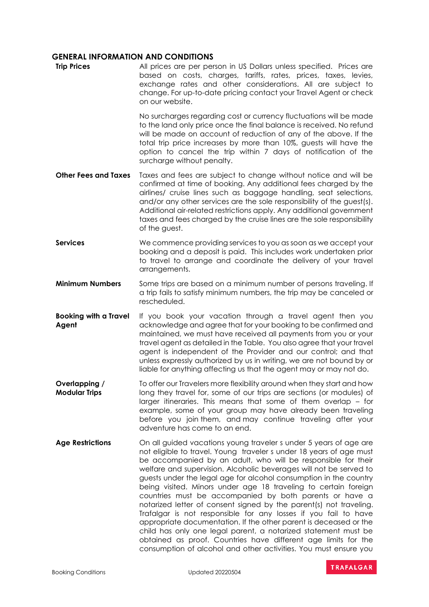### **GENERAL INFORMATION AND CONDITIONS**

| <b>Trip Prices</b>                    | All prices are per person in US Dollars unless specified. Prices are<br>based on costs, charges, tariffs, rates, prices, taxes, levies,<br>exchange rates and other considerations. All are subject to<br>change. For up-to-date pricing contact your Travel Agent or check<br>on our website.                                                                                                                                                                                                                                                                                                                                                                                                                                                                                                                                                                                                           |
|---------------------------------------|----------------------------------------------------------------------------------------------------------------------------------------------------------------------------------------------------------------------------------------------------------------------------------------------------------------------------------------------------------------------------------------------------------------------------------------------------------------------------------------------------------------------------------------------------------------------------------------------------------------------------------------------------------------------------------------------------------------------------------------------------------------------------------------------------------------------------------------------------------------------------------------------------------|
|                                       | No surcharges regarding cost or currency fluctuations will be made<br>to the land only price once the final balance is received. No refund<br>will be made on account of reduction of any of the above. If the<br>total trip price increases by more than 10%, guests will have the<br>option to cancel the trip within 7 days of notification of the<br>surcharge without penalty.                                                                                                                                                                                                                                                                                                                                                                                                                                                                                                                      |
| <b>Other Fees and Taxes</b>           | Taxes and fees are subject to change without notice and will be<br>confirmed at time of booking. Any additional fees charged by the<br>airlines/ cruise lines such as baggage handling, seat selections,<br>and/or any other services are the sole responsibility of the guest(s).<br>Additional air-related restrictions apply. Any additional government<br>taxes and fees charged by the cruise lines are the sole responsibility<br>of the guest.                                                                                                                                                                                                                                                                                                                                                                                                                                                    |
| <b>Services</b>                       | We commence providing services to you as soon as we accept your<br>booking and a deposit is paid. This includes work undertaken prior<br>to travel to arrange and coordinate the delivery of your travel<br>arrangements.                                                                                                                                                                                                                                                                                                                                                                                                                                                                                                                                                                                                                                                                                |
| <b>Minimum Numbers</b>                | Some trips are based on a minimum number of persons traveling. If<br>a trip fails to satisfy minimum numbers, the trip may be canceled or<br>rescheduled.                                                                                                                                                                                                                                                                                                                                                                                                                                                                                                                                                                                                                                                                                                                                                |
| <b>Booking with a Travel</b><br>Agent | If you book your vacation through a travel agent then you<br>acknowledge and agree that for your booking to be confirmed and<br>maintained, we must have received all payments from you or your<br>travel agent as detailed in the Table. You also agree that your travel<br>agent is independent of the Provider and our control; and that<br>unless expressly authorized by us in writing, we are not bound by or<br>liable for anything affecting us that the agent may or may not do.                                                                                                                                                                                                                                                                                                                                                                                                                |
| Overlapping /<br><b>Modular Trips</b> | To offer our Travelers more flexibility around when they start and how<br>long they travel for, some of our trips are sections (or modules) of<br>larger itineraries. This means that some of them overlap – for<br>example, some of your group may have already been traveling<br>before you join them, and may continue traveling after your<br>adventure has come to an end.                                                                                                                                                                                                                                                                                                                                                                                                                                                                                                                          |
| <b>Age Restrictions</b>               | On all guided vacations young traveler s under 5 years of age are<br>not eligible to travel. Young traveler s under 18 years of age must<br>be accompanied by an adult, who will be responsible for their<br>welfare and supervision. Alcoholic beverages will not be served to<br>guests under the legal age for alcohol consumption in the country<br>being visited. Minors under age 18 traveling to certain foreign<br>countries must be accompanied by both parents or have a<br>notarized letter of consent signed by the parent(s) not traveling.<br>Trafalgar is not responsible for any losses if you fail to have<br>appropriate documentation. If the other parent is deceased or the<br>child has only one legal parent, a notarized statement must be<br>obtained as proof. Countries have different age limits for the<br>consumption of alcohol and other activities. You must ensure you |

Booking Conditions **Conditions** Updated 20220504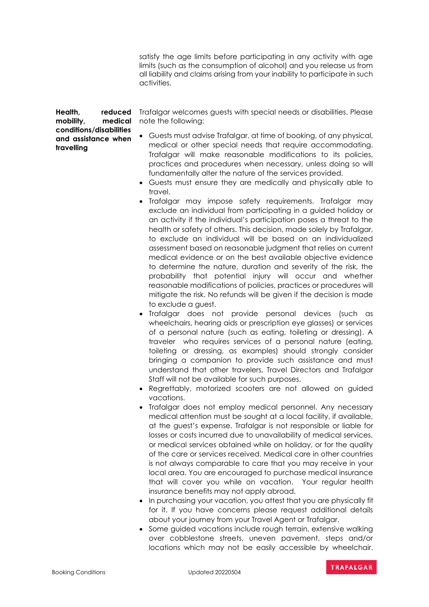satisfy the age limits before participating in any activity with age limits (such as the consumption of alcohol) and you release us from all liability and claims arising from your inability to participate in such activities.

**Health, reduced mobility, medical conditions/disabilities and assistance when travelling**

Trafalgar welcomes guests with special needs or disabilities. Please note the following:

- Guests must advise Trafalgar, at time of booking, of any physical, medical or other special needs that require accommodating. Trafalgar will make reasonable modifications to its policies, practices and procedures when necessary, unless doing so will fundamentally alter the nature of the services provided.
- Guests must ensure they are medically and physically able to travel.
- Trafalgar may impose safety requirements. Trafalgar may exclude an individual from participating in a guided holiday or an activity if the individual's participation poses a threat to the health or safety of others. This decision, made solely by Trafalgar, to exclude an individual will be based on an individualized assessment based on reasonable judgment that relies on current medical evidence or on the best available objective evidence to determine the nature, duration and severity of the risk, the probability that potential injury will occur and whether reasonable modifications of policies, practices or procedures will mitigate the risk. No refunds will be given if the decision is made to exclude a guest.
- Trafalgar does not provide personal devices (such as wheelchairs, hearing aids or prescription eye glasses) or services of a personal nature (such as eating, toileting or dressing). A traveler who requires services of a personal nature (eating, toileting or dressing, as examples) should strongly consider bringing a companion to provide such assistance and must understand that other travelers, Travel Directors and Trafalgar Staff will not be available for such purposes.
- Regrettably, motorized scooters are not allowed on guided vacations.
- Trafalgar does not employ medical personnel. Any necessary medical attention must be sought at a local facility, if available, at the guest's expense. Trafalgar is not responsible or liable for losses or costs incurred due to unavailability of medical services, or medical services obtained while on holiday, or for the quality of the care or services received. Medical care in other countries is not always comparable to care that you may receive in your local area. You are encouraged to purchase medical insurance that will cover you while on vacation. Your regular health insurance benefits may not apply abroad.
- In purchasing your vacation, you attest that you are physically fit for it. If you have concerns please request additional details about your journey from your Travel Agent or Trafalgar.
- Some guided vacations include rough terrain, extensive walking over cobblestone streets, uneven pavement, steps and/or locations which may not be easily accessible by wheelchair.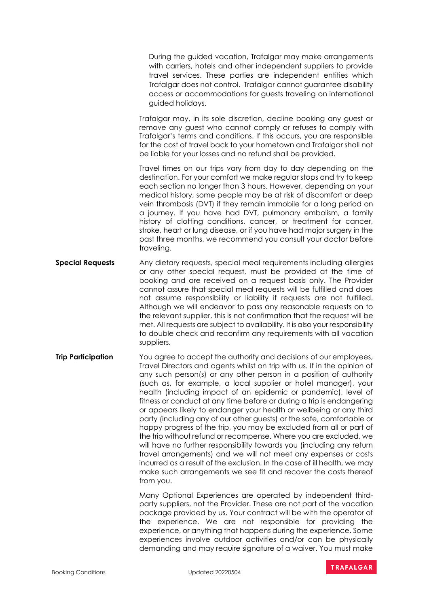During the guided vacation, Trafalgar may make arrangements with carriers, hotels and other independent suppliers to provide travel services. These parties are independent entities which Trafalgar does not control. Trafalgar cannot guarantee disability access or accommodations for guests traveling on international guided holidays.

Trafalgar may, in its sole discretion, decline booking any guest or remove any guest who cannot comply or refuses to comply with Trafalgar's terms and conditions. If this occurs, you are responsible for the cost of travel back to your hometown and Trafalgar shall not be liable for your losses and no refund shall be provided.

Travel times on our trips vary from day to day depending on the destination. For your comfort we make regular stops and try to keep each section no longer than 3 hours. However, depending on your medical history, some people may be at risk of discomfort or deep vein thrombosis (DVT) if they remain immobile for a long period on a journey. If you have had DVT, pulmonary embolism, a family history of clotting conditions, cancer, or treatment for cancer, stroke, heart or lung disease, or if you have had major surgery in the past three months, we recommend you consult your doctor before traveling.

- **Special Requests** Any dietary requests, special meal requirements including allergies or any other special request, must be provided at the time of booking and are received on a request basis only. The Provider cannot assure that special meal requests will be fulfilled and does not assume responsibility or liability if requests are not fulfilled. Although we will endeavor to pass any reasonable requests on to the relevant supplier, this is not confirmation that the request will be met. All requests are subject to availability. It is also your responsibility to double check and reconfirm any requirements with all vacation suppliers.
- **Trip Participation** You agree to accept the authority and decisions of our employees, Travel Directors and agents whilst on trip with us. If in the opinion of any such person(s) or any other person in a position of authority (such as, for example, a local supplier or hotel manager), your health (including impact of an epidemic or pandemic), level of fitness or conduct at any time before or during a trip is endangering or appears likely to endanger your health or wellbeing or any third party (including any of our other guests) or the safe, comfortable or happy progress of the trip, you may be excluded from all or part of the trip without refund or recompense. Where you are excluded, we will have no further responsibility towards you (including any return travel arrangements) and we will not meet any expenses or costs incurred as a result of the exclusion. In the case of ill health, we may make such arrangements we see fit and recover the costs thereof from you.

Many Optional Experiences are operated by independent thirdparty suppliers, not the Provider. These are not part of the vacation package provided by us. Your contract will be with the operator of the experience. We are not responsible for providing the experience, or anything that happens during the experience. Some experiences involve outdoor activities and/or can be physically demanding and may require signature of a waiver. You must make

Booking Conditions **Booking Conditions** Updated 20220504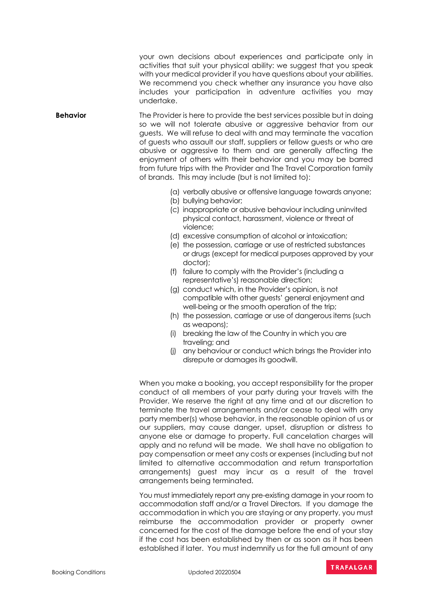your own decisions about experiences and participate only in activities that suit your physical ability: we suggest that you speak with your medical provider if you have questions about your abilities. We recommend you check whether any insurance you have also includes your participation in adventure activities you may undertake.

**Behavior** The Provider is here to provide the best services possible but in doing so we will not tolerate abusive or aggressive behavior from our guests. We will refuse to deal with and may terminate the vacation of guests who assault our staff, suppliers or fellow guests or who are abusive or aggressive to them and are generally affecting the enjoyment of others with their behavior and you may be barred from future trips with the Provider and The Travel Corporation family of brands. This may include (but is not limited to):

- (a) verbally abusive or offensive language towards anyone;
- (b) bullying behavior;
- (c) inappropriate or abusive behaviour including uninvited physical contact, harassment, violence or threat of violence;
- (d) excessive consumption of alcohol or intoxication;
- (e) the possession, carriage or use of restricted substances or drugs (except for medical purposes approved by your doctor);
- (f) failure to comply with the Provider's (including a representative's) reasonable direction;
- (g) conduct which, in the Provider's opinion, is not compatible with other guests' general enjoyment and well-being or the smooth operation of the trip;
- (h) the possession, carriage or use of dangerous items (such as weapons);
- (i) breaking the law of the Country in which you are traveling; and
- (j) any behaviour or conduct which brings the Provider into disrepute or damages its goodwill.

When you make a booking, you accept responsibility for the proper conduct of all members of your party during your travels with the Provider. We reserve the right at any time and at our discretion to terminate the travel arrangements and/or cease to deal with any party member(s) whose behavior, in the reasonable opinion of us or our suppliers, may cause danger, upset, disruption or distress to anyone else or damage to property. Full cancelation charges will apply and no refund will be made. We shall have no obligation to pay compensation or meet any costs or expenses (including but not limited to alternative accommodation and return transportation arrangements) guest may incur as a result of the travel arrangements being terminated.

You must immediately report any pre-existing damage in your room to accommodation staff and/or a Travel Directors. If you damage the accommodation in which you are staying or any property, you must reimburse the accommodation provider or property owner concerned for the cost of the damage before the end of your stay if the cost has been established by then or as soon as it has been established if later. You must indemnify us for the full amount of any

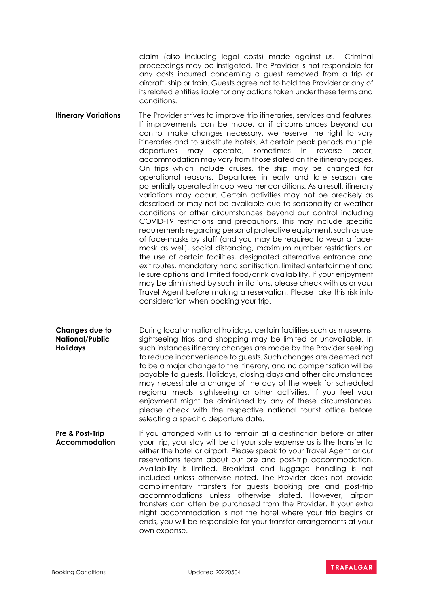claim (also including legal costs) made against us. Criminal proceedings may be instigated. The Provider is not responsible for any costs incurred concerning a guest removed from a trip or aircraft, ship or train. Guests agree not to hold the Provider or any of its related entities liable for any actions taken under these terms and conditions.

**Itinerary Variations** The Provider strives to improve trip itineraries, services and features. If improvements can be made, or if circumstances beyond our control make changes necessary, we reserve the right to vary itineraries and to substitute hotels. At certain peak periods multiple departures may operate, sometimes in reverse order; accommodation may vary from those stated on the itinerary pages. On trips which include cruises, the ship may be changed for operational reasons. Departures in early and late season are potentially operated in cool weather conditions. As a result, itinerary variations may occur. Certain activities may not be precisely as described or may not be available due to seasonality or weather conditions or other circumstances beyond our control including COVID-19 restrictions and precautions. This may include specific requirements regarding personal protective equipment, such as use of face-masks by staff (and you may be required to wear a facemask as well), social distancing, maximum number restrictions on the use of certain facilities, designated alternative entrance and exit routes, mandatory hand sanitisation, limited entertainment and leisure options and limited food/drink availability. If your enjoyment may be diminished by such limitations, please check with us or your Travel Agent before making a reservation. Please take this risk into consideration when booking your trip.

**Changes due to National/Public Holidays**  During local or national holidays, certain facilities such as museums, sightseeing trips and shopping may be limited or unavailable. In such instances itinerary changes are made by the Provider seeking to reduce inconvenience to guests. Such changes are deemed not to be a major change to the itinerary, and no compensation will be payable to guests. Holidays, closing days and other circumstances may necessitate a change of the day of the week for scheduled regional meals, sightseeing or other activities. If you feel your enjoyment might be diminished by any of these circumstances, please check with the respective national tourist office before selecting a specific departure date.

**Pre & Post-Trip Accommodation** If you arranged with us to remain at a destination before or after your trip, your stay will be at your sole expense as is the transfer to either the hotel or airport. Please speak to your Travel Agent or our reservations team about our pre and post-trip accommodation. Availability is limited. Breakfast and luggage handling is not included unless otherwise noted. The Provider does not provide complimentary transfers for guests booking pre and post-trip accommodations unless otherwise stated. However, airport transfers can often be purchased from the Provider. If your extra night accommodation is not the hotel where your trip begins or ends, you will be responsible for your transfer arrangements at your own expense.

Booking Conditions **Example 20220504**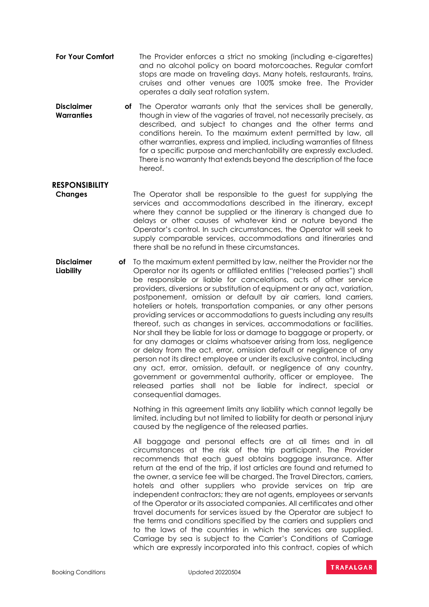- **For Your Comfort** The Provider enforces a strict no smoking (including e-cigarettes) and no alcohol policy on board motorcoaches. Regular comfort stops are made on traveling days. Many hotels, restaurants, trains, cruises and other venues are 100% smoke free. The Provider operates a daily seat rotation system.
- **Disclaimer Warranties** of The Operator warrants only that the services shall be generally, though in view of the vagaries of travel, not necessarily precisely, as described, and subject to changes and the other terms and conditions herein. To the maximum extent permitted by law, all other warranties, express and implied, including warranties of fitness for a specific purpose and merchantability are expressly excluded. There is no warranty that extends beyond the description of the face hereof.

## **RESPONSIBILITY**

**Changes** The Operator shall be responsible to the guest for supplying the services and accommodations described in the itinerary, except where they cannot be supplied or the itinerary is changed due to delays or other causes of whatever kind or nature beyond the Operator's control. In such circumstances, the Operator will seek to supply comparable services, accommodations and itineraries and there shall be no refund in these circumstances.

**Disclaimer Liability** of To the maximum extent permitted by law, neither the Provider nor the Operator nor its agents or affiliated entities ("released parties") shall be responsible or liable for cancelations, acts of other service providers, diversions or substitution of equipment or any act, variation, postponement, omission or default by air carriers, land carriers, hoteliers or hotels, transportation companies, or any other persons providing services or accommodations to guests including any results thereof, such as changes in services, accommodations or facilities. Nor shall they be liable for loss or damage to baggage or property, or for any damages or claims whatsoever arising from loss, negligence or delay from the act, error, omission default or negligence of any person not its direct employee or under its exclusive control, including any act, error, omission, default, or negligence of any country, government or governmental authority, officer or employee. The released parties shall not be liable for indirect, special or consequential damages.

> Nothing in this agreement limits any liability which cannot legally be limited, including but not limited to liability for death or personal injury caused by the negligence of the released parties.

> All baggage and personal effects are at all times and in all circumstances at the risk of the trip participant. The Provider recommends that each guest obtains baggage insurance. After return at the end of the trip, if lost articles are found and returned to the owner, a service fee will be charged. The Travel Directors, carriers, hotels and other suppliers who provide services on trip are independent contractors; they are not agents, employees or servants of the Operator or its associated companies. All certificates and other travel documents for services issued by the Operator are subject to the terms and conditions specified by the carriers and suppliers and to the laws of the countries in which the services are supplied. Carriage by sea is subject to the Carrier's Conditions of Carriage which are expressly incorporated into this contract, copies of which

Booking Conditions **Example 20220504**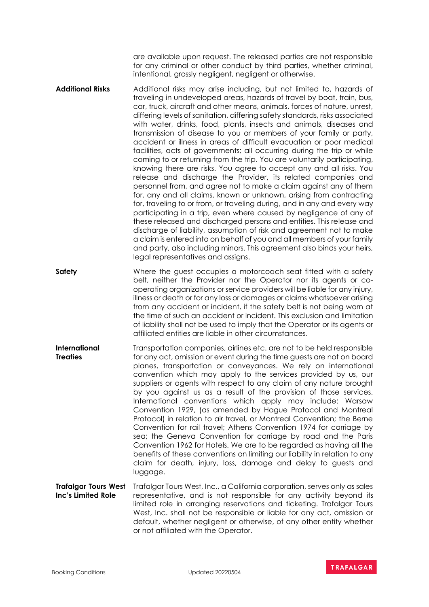are available upon request. The released parties are not responsible for any criminal or other conduct by third parties, whether criminal, intentional, grossly negligent, negligent or otherwise.

- **Additional Risks** Additional risks may arise including, but not limited to, hazards of traveling in undeveloped areas, hazards of travel by boat, train, bus, car, truck, aircraft and other means, animals, forces of nature, unrest, differing levels of sanitation, differing safety standards, risks associated with water, drinks, food, plants, insects and animals, diseases and transmission of disease to you or members of your family or party, accident or illness in areas of difficult evacuation or poor medical facilities, acts of governments; all occurring during the trip or while coming to or returning from the trip. You are voluntarily participating, knowing there are risks. You agree to accept any and all risks. You release and discharge the Provider, its related companies and personnel from, and agree not to make a claim against any of them for, any and all claims, known or unknown, arising from contracting for, traveling to or from, or traveling during, and in any and every way participating in a trip, even where caused by negligence of any of these released and discharged persons and entities. This release and discharge of liability, assumption of risk and agreement not to make a claim is entered into on behalf of you and all members of your family and party, also including minors. This agreement also binds your heirs, legal representatives and assigns.
- **Safety** Where the quest occupies a motorcoach seat fitted with a safety belt, neither the Provider nor the Operator nor its agents or cooperating organizations or service providers will be liable for any injury, illness or death or for any loss or damages or claims whatsoever arising from any accident or incident, if the safety belt is not being worn at the time of such an accident or incident. This exclusion and limitation of liability shall not be used to imply that the Operator or its agents or affiliated entities are liable in other circumstances.
- **International Treaties** Transportation companies, airlines etc. are not to be held responsible for any act, omission or event during the time guests are not on board planes, transportation or conveyances. We rely on international convention which may apply to the services provided by us, our suppliers or agents with respect to any claim of any nature brought by you against us as a result of the provision of those services. International conventions which apply may include: Warsaw Convention 1929, (as amended by Hague Protocol and Montreal Protocol) in relation to air travel, or Montreal Convention; the Berne Convention for rail travel; Athens Convention 1974 for carriage by sea; the Geneva Convention for carriage by road and the Paris Convention 1962 for Hotels. We are to be regarded as having all the benefits of these conventions on limiting our liability in relation to any claim for death, injury, loss, damage and delay to guests and luggage.
- **Trafalgar Tours West Inc's Limited Role** Trafalgar Tours West, Inc., a California corporation, serves only as sales representative, and is not responsible for any activity beyond its limited role in arranging reservations and ticketing. Trafalgar Tours West, Inc. shall not be responsible or liable for any act, omission or default, whether negligent or otherwise, of any other entity whether or not affiliated with the Operator.

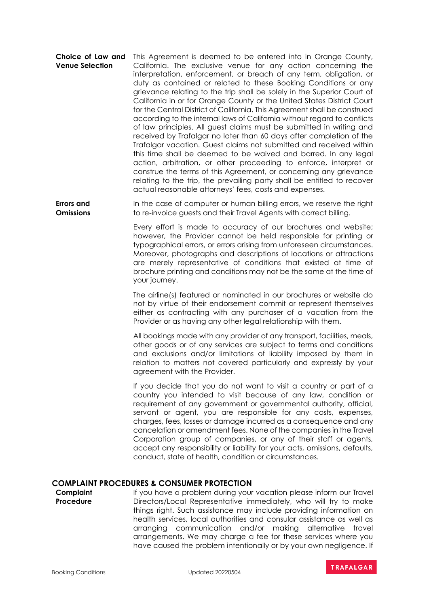**Choice of Law and Venue Selection** This Agreement is deemed to be entered into in Orange County, California. The exclusive venue for any action concerning the interpretation, enforcement, or breach of any term, obligation, or duty as contained or related to these Booking Conditions or any grievance relating to the trip shall be solely in the Superior Court of California in or for Orange County or the United States District Court for the Central District of California. This Agreement shall be construed according to the internal laws of California without regard to conflicts of law principles. All guest claims must be submitted in writing and received by Trafalgar no later than 60 days after completion of the Trafalgar vacation. Guest claims not submitted and received within this time shall be deemed to be waived and barred. In any legal action, arbitration, or other proceeding to enforce, interpret or construe the terms of this Agreement, or concerning any grievance relating to the trip, the prevailing party shall be entitled to recover actual reasonable attorneys' fees, costs and expenses.

**Errors and Omissions** In the case of computer or human billing errors, we reserve the right to re-invoice guests and their Travel Agents with correct billing.

> Every effort is made to accuracy of our brochures and website; however, the Provider cannot be held responsible for printing or typographical errors, or errors arising from unforeseen circumstances. Moreover, photographs and descriptions of locations or attractions are merely representative of conditions that existed at time of brochure printing and conditions may not be the same at the time of your journey.

> The airline(s) featured or nominated in our brochures or website do not by virtue of their endorsement commit or represent themselves either as contracting with any purchaser of a vacation from the Provider or as having any other legal relationship with them.

> All bookings made with any provider of any transport, facilities, meals, other goods or of any services are subject to terms and conditions and exclusions and/or limitations of liability imposed by them in relation to matters not covered particularly and expressly by your agreement with the Provider.

> If you decide that you do not want to visit a country or part of a country you intended to visit because of any law, condition or requirement of any government or governmental authority, official, servant or agent, you are responsible for any costs, expenses, charges, fees, losses or damage incurred as a consequence and any cancelation or amendment fees. None of the companies in the Travel Corporation group of companies, or any of their staff or agents, accept any responsibility or liability for your acts, omissions, defaults, conduct, state of health, condition or circumstances.

#### **COMPLAINT PROCEDURES & CONSUMER PROTECTION**

**Complaint Procedure** If you have a problem during your vacation please inform our Travel Directors/Local Representative immediately, who will try to make things right. Such assistance may include providing information on health services, local authorities and consular assistance as well as arranging communication and/or making alternative travel arrangements. We may charge a fee for these services where you have caused the problem intentionally or by your own negligence. If

Booking Conditions **Example 2021** Updated 20220504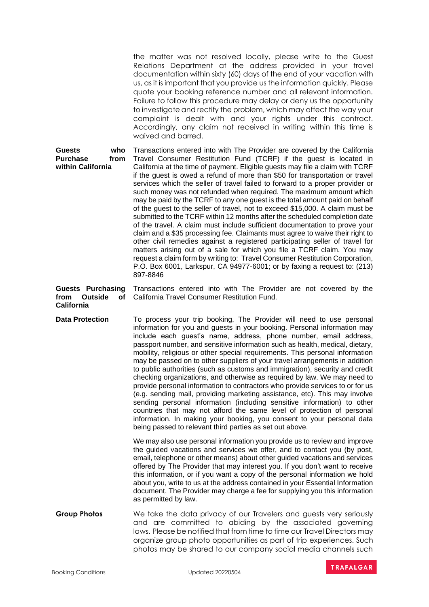the matter was not resolved locally, please write to the Guest Relations Department at the address provided in your travel documentation within sixty (60) days of the end of your vacation with us, as it is important that you provide us the information quickly. Please quote your booking reference number and all relevant information. Failure to follow this procedure may delay or deny us the opportunity to investigate and rectify the problem, which may affect the way your complaint is dealt with and your rights under this contract. Accordingly, any claim not received in writing within this time is waived and barred.

**Guests who Purchase from within California** Transactions entered into with The Provider are covered by the California Travel Consumer Restitution Fund (TCRF) if the guest is located in California at the time of payment. Eligible guests may file a claim with TCRF if the guest is owed a refund of more than \$50 for transportation or travel services which the seller of travel failed to forward to a proper provider or such money was not refunded when required. The maximum amount which may be paid by the TCRF to any one guest is the total amount paid on behalf of the guest to the seller of travel, not to exceed \$15,000. A claim must be submitted to the TCRF within 12 months after the scheduled completion date of the travel. A claim must include sufficient documentation to prove your claim and a \$35 processing fee. Claimants must agree to waive their right to other civil remedies against a registered participating seller of travel for matters arising out of a sale for which you file a TCRF claim. You may request a claim form by writing to: Travel Consumer Restitution Corporation, P.O. Box 6001, Larkspur, CA 94977-6001; or by faxing a request to: (213) 897-8846

**Guests Purchasing from Outside of California** Transactions entered into with The Provider are not covered by the California Travel Consumer Restitution Fund.

Data Protection To process your trip booking, The Provider will need to use personal information for you and guests in your booking. Personal information may include each guest's name, address, phone number, email address, passport number, and sensitive information such as health, medical, dietary, mobility, religious or other special requirements. This personal information may be passed on to other suppliers of your travel arrangements in addition to public authorities (such as customs and immigration), security and credit checking organizations, and otherwise as required by law. We may need to provide personal information to contractors who provide services to or for us (e.g. sending mail, providing marketing assistance, etc). This may involve sending personal information (including sensitive information) to other countries that may not afford the same level of protection of personal information. In making your booking, you consent to your personal data being passed to relevant third parties as set out above.

> We may also use personal information you provide us to review and improve the guided vacations and services we offer, and to contact you (by post, email, telephone or other means) about other guided vacations and services offered by The Provider that may interest you. If you don't want to receive this information, or if you want a copy of the personal information we hold about you, write to us at the address contained in your Essential Information document. The Provider may charge a fee for supplying you this information as permitted by law.

**Group Photos** We take the data privacy of our Travelers and guests very seriously and are committed to abiding by the associated governing laws. Please be notified that from time to time our Travel Directors may organize group photo opportunities as part of trip experiences. Such photos may be shared to our company social media channels such